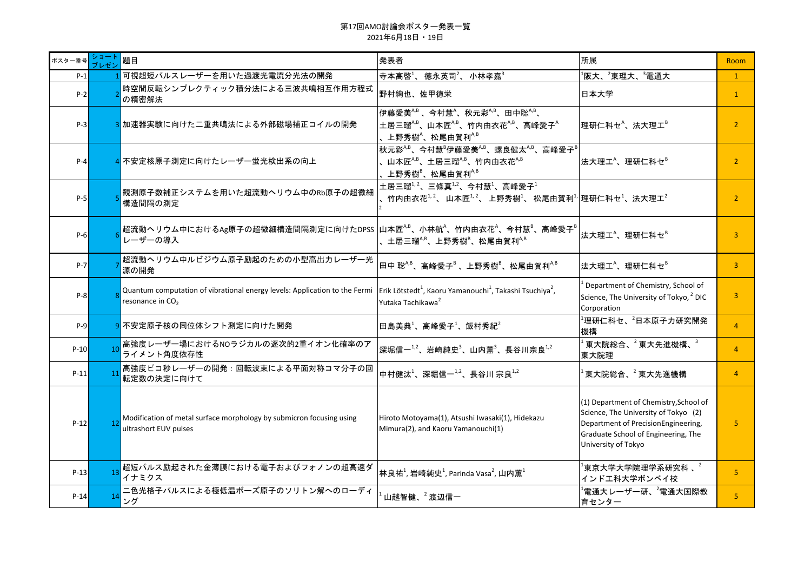| ポスター番号  | ショート<br>プレゼン   | 題目                                                                                                                                                                                                              | 発表者                                                                                                                                                                                        | 所属                                                                                                                                                                                  | Room           |
|---------|----------------|-----------------------------------------------------------------------------------------------------------------------------------------------------------------------------------------------------------------|--------------------------------------------------------------------------------------------------------------------------------------------------------------------------------------------|-------------------------------------------------------------------------------------------------------------------------------------------------------------------------------------|----------------|
| $P-1$   |                | 可視超短パルスレーザーを用いた過渡光電流分光法の開発                                                                                                                                                                                      | 寺本高啓 $1$ 、徳永英司 $2$ 、小林孝嘉 $3$                                                                                                                                                               | $^1$ 阪大、 $^2$ 東理大、 $^3$ 電通大                                                                                                                                                         | $\mathbf{1}$   |
| $P-2$   |                | 時空間反転シンプレクティック積分法による三波共鳴相互作用方程式<br>の精密解法                                                                                                                                                                        | 野村絢也、佐甲徳栄                                                                                                                                                                                  | 日本大学                                                                                                                                                                                | $\mathbf{1}$   |
| $P-3$   |                | 3 加速器実験に向けた二重共鳴法による外部磁場補正コイルの開発                                                                                                                                                                                 | 伊藤愛美 <sup>A,B</sup> 、今村慧 <sup>A</sup> 、秋元彩 <sup>A,B</sup> 、田中聡 <sup>A,B</sup> 、<br>土居三瑠 $^{A,B}$ 、山本匠 $^{A,B}$ 、竹内由衣花 $^{A,B}$ 、高峰愛子 $^{A}$<br>上野秀樹 $^{\wedge}$ 、松尾由賀利 $^{\wedge, \wedge}$ | 理研仁科セ <sup>A</sup> 、法大理工 <sup>B</sup>                                                                                                                                               | $\overline{2}$ |
| $P-4$   |                | <mark>4</mark> 不安定核原子測定に向けたレーザー蛍光検出系の向上                                                                                                                                                                         | 秋元彩 <sup>A,B</sup> 、今村慧 <sup>B</sup> 伊藤愛美 <sup>A,B</sup> 、螺良健太 <sup>A,B</sup> 、高峰愛子 <sup>B</sup><br>山本匠 <sup><math>A,B</math></sup> 、土居三瑠 $A,B$ 、竹内由衣花 $A,B$<br>上野秀樹 $^8$ 、松尾由賀利 $^{A,B}$  | 法大理工 <sup>A</sup> 、理研仁科セ <sup>B</sup>                                                                                                                                               | $\overline{2}$ |
| $P-5$   |                | <b> 観測原子数補正システムを用いた超流動へリウム中のRb原子の超微細</b><br>構造間隔の測定                                                                                                                                                             | 土居三瑠 $1/2$ 、三條真 $1/2$ 、今村慧 $1$ 、高峰愛子 $1$<br>竹内由衣花 $1, 2$ 、山本匠 $1, 2$ 、上野秀樹 $1$ 、松尾由賀利 $1, 1$ 理研仁科セ $1, 2, 3$ 大理工 $2$                                                                       |                                                                                                                                                                                     | $\overline{2}$ |
| $P-6$   |                | $\big $ 超流動ヘリウム中におけるAg原子の超微細構造間隔測定に向けたDPSS $\big $ 山本匠 $^{A,B}$ 、小林航 $^\wedge$ 、竹内由衣花 $^\wedge$ 、今村慧 $^{\scriptscriptstyle{8}}$ 、高峰愛子 $^{\scriptscriptstyle{6}}$<br>レーザーの導入                                     | 土居三瑠 $A$ <sup>8</sup> 、上野秀樹 $B$ 、松尾由賀利 $A$ <sup>A,B</sup>                                                                                                                                  | 法大理工 <sup>A</sup> 、理研仁科セ <sup>B</sup>                                                                                                                                               | $\overline{3}$ |
| $P - 7$ |                | 超流動ヘリウム中ルビジウム原子励起のための小型高出カレーザー光<br>源の開発                                                                                                                                                                         | 田中 聡 <sup>A,B</sup> 、高峰愛子 <sup>B</sup> 、上野秀樹 <sup>B</sup> 、松尾由賀利 <sup>A,B</sup>                                                                                                            | 法大理工 <sup>A</sup> 、理研仁科セ <sup>B</sup>                                                                                                                                               | $\overline{3}$ |
| $P-8$   |                | Quantum computation of vibrational energy levels: Application to the Fermi $\vert$ Erik Lötstedt <sup>1</sup> , Kaoru Yamanouchi <sup>1</sup> , Takashi Tsuchiya <sup>2</sup> ,<br>resonance in CO <sub>2</sub> | Yutaka Tachikawa <sup>2</sup>                                                                                                                                                              | Department of Chemistry, School of<br>Science, The University of Tokyo, <sup>2</sup> DIC<br>Corporation                                                                             | $\overline{3}$ |
| $P-9$   |                | 9 不安定原子核の同位体シフト測定に向けた開発                                                                                                                                                                                         | 田島美典1、高峰愛子1、飯村秀紀2                                                                                                                                                                          | $^{\rm 1}$ 理研仁科セ、 $^{\rm 2}$ 日本原子力研究開発<br>機構                                                                                                                                        | $\overline{4}$ |
| $P-10$  | 10             | 高強度レーザー場におけるNOラジカルの逐次的2重イオン化確率のア<br>ライメント角度依存性                                                                                                                                                                  | 深堀信一1,2、岩崎純史3、山内薫3、長谷川宗良1,2                                                                                                                                                                | 東大院総合、 <sup>2</sup> 東大先進機構、 <sup>3</sup><br>東大院理                                                                                                                                    | $\overline{4}$ |
| $P-11$  |                | 高強度ピコ秒レーザーの開発:回転波束による平面対称コマ分子の回<br>転定数の決定に向けて                                                                                                                                                                   | 中村健汰 <sup>1</sup> 、深堀信一 $1/2$ 、長谷川 宗良 $1/2$                                                                                                                                                | 東大院総合、 <sup>2</sup> 東大先進機構                                                                                                                                                          | $\overline{4}$ |
| $P-12$  | 12             | Modification of metal surface morphology by submicron focusing using<br>ultrashort EUV pulses                                                                                                                   | Hiroto Motoyama(1), Atsushi Iwasaki(1), Hidekazu<br>Mimura(2), and Kaoru Yamanouchi(1)                                                                                                     | (1) Department of Chemistry, School of<br>Science, The University of Tokyo (2)<br>Department of PrecisionEngineering,<br>Graduate School of Engineering, The<br>University of Tokyo | 5              |
| $P-13$  | 1 <sup>2</sup> | 超短パルス励起された金薄膜における電子およびフォノンの超高速ダ<br>イナミクス                                                                                                                                                                        | 林良祐 <sup>1</sup> , 岩崎純史 <sup>1</sup> , Parinda Vasa <sup>2</sup> , 山内薫 $1$                                                                                                                 | $^{\mathsf{I}}$ 東京大学大学院理学系研究科 、 $^{\mathsf{2}}$<br>インドエ科大学ボンベイ校                                                                                                                     | 5.             |
| $P-14$  |                | 二色光格子パルスによる極低温ボーズ原子のソリトン解へのローディ<br>ング                                                                                                                                                                           | 山越智健、 ${}^{2}$ 渡辺信一                                                                                                                                                                        | $^{\rm 1}$ 電通大レーザー研、 $^{\rm 2}$ 電通大国際教<br>育センター                                                                                                                                     | 5 <sup>1</sup> |